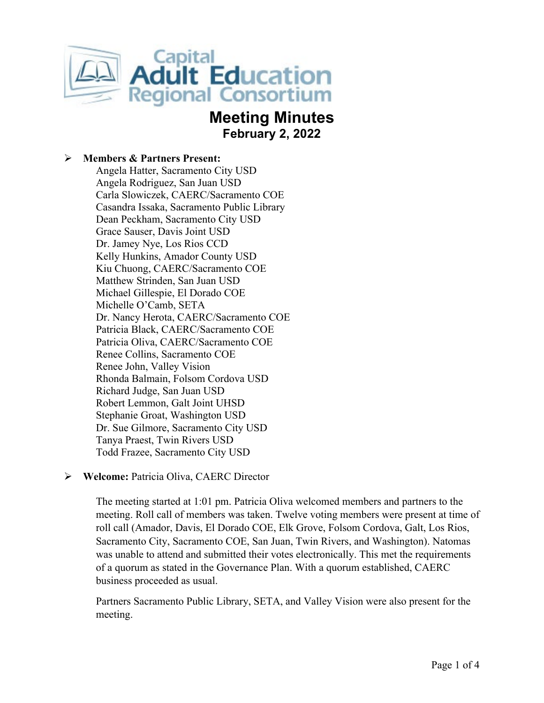

# **Meeting Minutes February 2, 2022**

### **Members & Partners Present:**

Angela Hatter, Sacramento City USD Angela Rodriguez, San Juan USD Carla Slowiczek, CAERC/Sacramento COE Casandra Issaka, Sacramento Public Library Dean Peckham, Sacramento City USD Grace Sauser, Davis Joint USD Dr. Jamey Nye, Los Rios CCD Kelly Hunkins, Amador County USD Kiu Chuong, CAERC/Sacramento COE Matthew Strinden, San Juan USD Michael Gillespie, El Dorado COE Michelle O'Camb, SETA Dr. Nancy Herota, CAERC/Sacramento COE Patricia Black, CAERC/Sacramento COE Patricia Oliva, CAERC/Sacramento COE Renee Collins, Sacramento COE Renee John, Valley Vision Rhonda Balmain, Folsom Cordova USD Richard Judge, San Juan USD Robert Lemmon, Galt Joint UHSD Stephanie Groat, Washington USD Dr. Sue Gilmore, Sacramento City USD Tanya Praest, Twin Rivers USD Todd Frazee, Sacramento City USD

# **Welcome:** Patricia Oliva, CAERC Director

The meeting started at 1:01 pm. Patricia Oliva welcomed members and partners to the meeting. Roll call of members was taken. Twelve voting members were present at time of roll call (Amador, Davis, El Dorado COE, Elk Grove, Folsom Cordova, Galt, Los Rios, Sacramento City, Sacramento COE, San Juan, Twin Rivers, and Washington). Natomas was unable to attend and submitted their votes electronically. This met the requirements of a quorum as stated in the Governance Plan. With a quorum established, CAERC business proceeded as usual.

Partners Sacramento Public Library, SETA, and Valley Vision were also present for the meeting.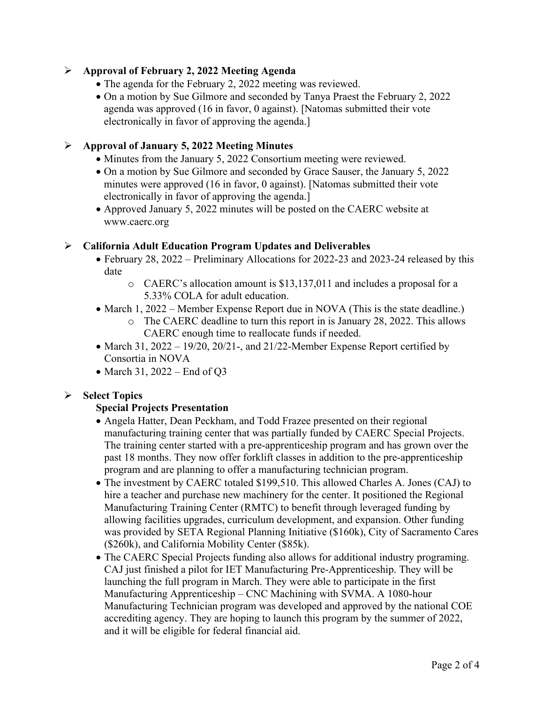# **Approval of February 2, 2022 Meeting Agenda**

- The agenda for the February 2, 2022 meeting was reviewed.
- On a motion by Sue Gilmore and seconded by Tanya Praest the February 2, 2022 agenda was approved (16 in favor, 0 against). [Natomas submitted their vote electronically in favor of approving the agenda.]

# **Approval of January 5, 2022 Meeting Minutes**

- Minutes from the January 5, 2022 Consortium meeting were reviewed.
- On a motion by Sue Gilmore and seconded by Grace Sauser, the January 5, 2022 minutes were approved (16 in favor, 0 against). [Natomas submitted their vote electronically in favor of approving the agenda.]
- Approved January 5, 2022 minutes will be posted on the CAERC website at www.caerc.org

### **California Adult Education Program Updates and Deliverables**

- February 28, 2022 Preliminary Allocations for 2022-23 and 2023-24 released by this date
	- o CAERC's allocation amount is \$13,137,011 and includes a proposal for a 5.33% COLA for adult education.
- March 1, 2022 Member Expense Report due in NOVA (This is the state deadline.)
	- o The CAERC deadline to turn this report in is January 28, 2022. This allows CAERC enough time to reallocate funds if needed.
- March 31, 2022 19/20, 20/21-, and 21/22-Member Expense Report certified by Consortia in NOVA
- March 31, 2022 End of O3

# **Select Topics**

# **Special Projects Presentation**

- Angela Hatter, Dean Peckham, and Todd Frazee presented on their regional manufacturing training center that was partially funded by CAERC Special Projects. The training center started with a pre-apprenticeship program and has grown over the past 18 months. They now offer forklift classes in addition to the pre-apprenticeship program and are planning to offer a manufacturing technician program.
- The investment by CAERC totaled \$199,510. This allowed Charles A. Jones (CAJ) to hire a teacher and purchase new machinery for the center. It positioned the Regional Manufacturing Training Center (RMTC) to benefit through leveraged funding by allowing facilities upgrades, curriculum development, and expansion. Other funding was provided by SETA Regional Planning Initiative (\$160k), City of Sacramento Cares (\$260k), and California Mobility Center (\$85k).
- The CAERC Special Projects funding also allows for additional industry programing. CAJ just finished a pilot for IET Manufacturing Pre-Apprenticeship. They will be launching the full program in March. They were able to participate in the first Manufacturing Apprenticeship – CNC Machining with SVMA. A 1080-hour Manufacturing Technician program was developed and approved by the national COE accrediting agency. They are hoping to launch this program by the summer of 2022, and it will be eligible for federal financial aid.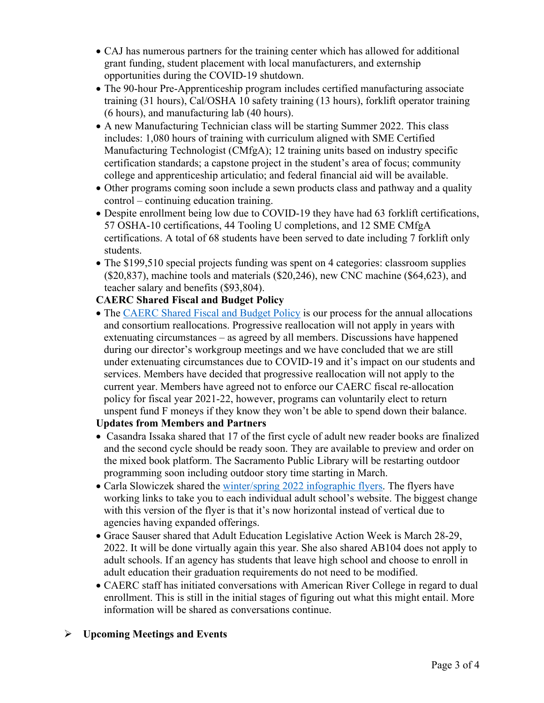- CAJ has numerous partners for the training center which has allowed for additional grant funding, student placement with local manufacturers, and externship opportunities during the COVID-19 shutdown.
- The 90-hour Pre-Apprenticeship program includes certified manufacturing associate training (31 hours), Cal/OSHA 10 safety training (13 hours), forklift operator training (6 hours), and manufacturing lab (40 hours).
- A new Manufacturing Technician class will be starting Summer 2022. This class includes: 1,080 hours of training with curriculum aligned with SME Certified Manufacturing Technologist (CMfgA); 12 training units based on industry specific certification standards; a capstone project in the student's area of focus; community college and apprenticeship articulatio; and federal financial aid will be available.
- Other programs coming soon include a sewn products class and pathway and a quality control – continuing education training.
- Despite enrollment being low due to COVID-19 they have had 63 forklift certifications, 57 OSHA-10 certifications, 44 Tooling U completions, and 12 SME CMfgA certifications. A total of 68 students have been served to date including 7 forklift only students.
- The \$199,510 special projects funding was spent on 4 categories: classroom supplies (\$20,837), machine tools and materials (\$20,246), new CNC machine (\$64,623), and teacher salary and benefits (\$93,804).

# **CAERC Shared Fiscal and Budget Policy**

• The [CAERC Shared Fiscal and Budget Policy](https://caerc.org/pdf/Shared%20Fiscal%20and%20Budget%20Agreement%20Policy.pdf) is our process for the annual allocations and consortium reallocations. Progressive reallocation will not apply in years with extenuating circumstances – as agreed by all members. Discussions have happened during our director's workgroup meetings and we have concluded that we are still under extenuating circumstances due to COVID-19 and it's impact on our students and services. Members have decided that progressive reallocation will not apply to the current year. Members have agreed not to enforce our CAERC fiscal re-allocation policy for fiscal year 2021-22, however, programs can voluntarily elect to return unspent fund F moneys if they know they won't be able to spend down their balance.

# **Updates from Members and Partners**

- Casandra Issaka shared that 17 of the first cycle of adult new reader books are finalized and the second cycle should be ready soon. They are available to preview and order on the mixed book platform. The Sacramento Public Library will be restarting outdoor programming soon including outdoor story time starting in March.
- Carla Slowiczek shared the [winter/spring 2022 infographic flyers.](https://capitaladulted.org/share) The flyers have working links to take you to each individual adult school's website. The biggest change with this version of the flyer is that it's now horizontal instead of vertical due to agencies having expanded offerings.
- Grace Sauser shared that Adult Education Legislative Action Week is March 28-29, 2022. It will be done virtually again this year. She also shared AB104 does not apply to adult schools. If an agency has students that leave high school and choose to enroll in adult education their graduation requirements do not need to be modified.
- CAERC staff has initiated conversations with American River College in regard to dual enrollment. This is still in the initial stages of figuring out what this might entail. More information will be shared as conversations continue.

# **Upcoming Meetings and Events**